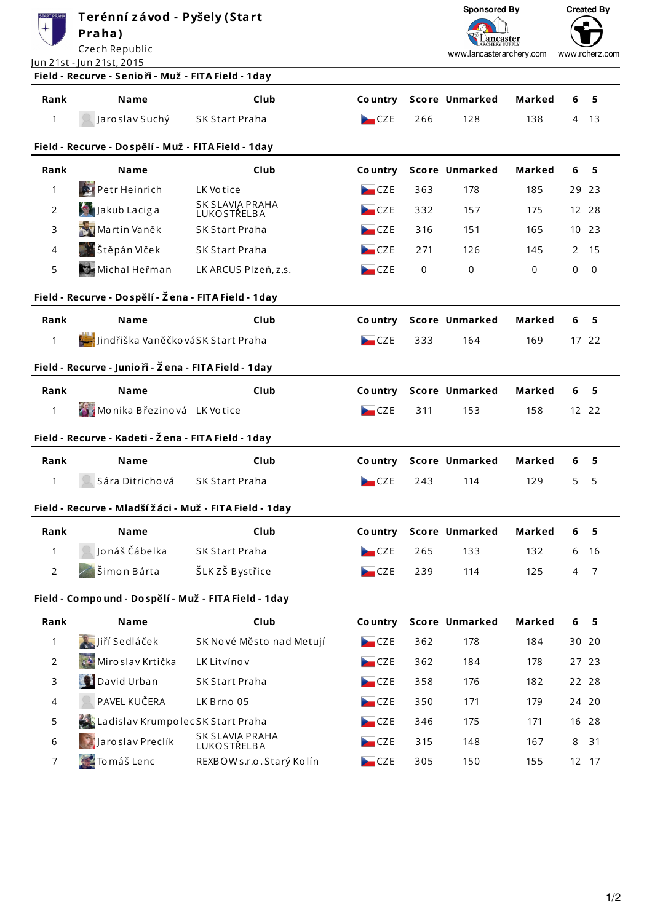| Terénní závod - Pyšely (Start<br><b>START PRAHA</b><br>Praha)<br>Czech Republic<br>Jun 21st - Jun 21st, 2015 |                                                         |                                       |                | Sponsored By<br>ancaster<br>www.lancasterarchery.com |                | <b>Created By</b><br>www.rcherz.com |   |             |
|--------------------------------------------------------------------------------------------------------------|---------------------------------------------------------|---------------------------------------|----------------|------------------------------------------------------|----------------|-------------------------------------|---|-------------|
|                                                                                                              | Field - Recurve - Senio ři - Muž - FITA Field - 1day    |                                       |                |                                                      |                |                                     |   |             |
| Rank                                                                                                         | <b>Name</b>                                             | Club                                  | <b>Country</b> |                                                      | Score Unmarked | Marked                              | 6 | 5           |
| 1                                                                                                            | Jaro slav Suchý                                         | <b>SK Start Praha</b>                 | CZE            | 266                                                  | 128            | 138                                 | 4 | 13          |
|                                                                                                              | Field - Recurve - Dospělí - Muž - FITA Field - 1day     |                                       |                |                                                      |                |                                     |   |             |
| Rank                                                                                                         | <b>Name</b>                                             | Club                                  | Co untry       |                                                      | Score Unmarked | Marked                              | 6 | 5           |
| 1                                                                                                            | <b>Petr Heinrich</b>                                    | LK Votice                             | CZE            | 363                                                  | 178            | 185                                 |   | 29 23       |
| 2                                                                                                            | Jakub Laciga                                            | SK SLAVIA PRAHA<br>LUKOSTŘELBA        | CZE            | 332                                                  | 157            | 175                                 |   | 12 28       |
| 3                                                                                                            | Martin Vaněk                                            | <b>SK Start Praha</b>                 | CZE            | 316                                                  | 151            | 165                                 |   | 10 23       |
| 4                                                                                                            | Štěpán Vlček                                            | SK Start Praha                        | CZE            | 271                                                  | 126            | 145                                 | 2 | 15          |
| 5                                                                                                            | <b>Wichal Heřman</b>                                    | LK ARCUS Plzeň, z.s.                  | CZE            | 0                                                    | 0              | $\Omega$                            | 0 | $\mathbf 0$ |
|                                                                                                              | Field - Recurve - Dospělí - Žena - FITA Field - 1day    |                                       |                |                                                      |                |                                     |   |             |
| Rank                                                                                                         | <b>Name</b>                                             | Club                                  | Co untry       |                                                      | Score Unmarked | Marked                              | 6 | 5           |
| 1                                                                                                            | Jindřiška VaněčkováSK Start Praha                       |                                       | CZE            | 333                                                  | 164            | 169                                 |   | 17 22       |
|                                                                                                              | Field - Recurve - Junio ři - Žena - FITA Field - 1day   |                                       |                |                                                      |                |                                     |   |             |
| Rank                                                                                                         | <b>Name</b>                                             | Club                                  | Co untry       |                                                      | Score Unmarked | Marked                              | 6 | 5           |
| 1                                                                                                            | Monika Březinová LK Votice                              |                                       | CZE            | 311                                                  | 153            | 158                                 |   | 12 22       |
|                                                                                                              | Field - Recurve - Kadeti - Žena - FITA Field - 1day     |                                       |                |                                                      |                |                                     |   |             |
| Rank                                                                                                         | <b>Name</b>                                             | Club                                  | <b>Country</b> |                                                      | Score Unmarked | Marked                              | 6 | 5           |
| 1                                                                                                            | Sára Ditrichová                                         | <b>SK Start Praha</b>                 | CZE            | 243                                                  | 114            | 129                                 | 5 | 5           |
|                                                                                                              | Field - Recurve - Mladší žáci - Muž - FITA Field - 1day |                                       |                |                                                      |                |                                     |   |             |
| Rank                                                                                                         | Name                                                    | Club                                  | Co untry       |                                                      | Score Unmarked | <b>Marked</b>                       | 6 | 5           |
| 1                                                                                                            | Jonáš Čábelka                                           | SK Start Praha                        | CZE            | 265                                                  | 133            | 132                                 | 6 | 16          |
| $\overline{2}$                                                                                               | Šimon Bárta                                             | ŠLK ZŠ Bystřice                       | CZE            | 239                                                  | 114            | 125                                 | 4 | 7           |
|                                                                                                              | Field - Compound - Dospělí - Muž - FITA Field - 1day    |                                       |                |                                                      |                |                                     |   |             |
| Rank                                                                                                         | Name                                                    | Club                                  | Co untry       |                                                      | Score Unmarked | Marked                              | 6 | 5           |
| 1                                                                                                            | Jiří Sedláček                                           | SK Nové Město nad Metují              | CZE            | 362                                                  | 178            | 184                                 |   | 30 20       |
| $\overline{2}$                                                                                               | Miro slav Krtička                                       | LK Litvínov                           | CZE            | 362                                                  | 184            | 178                                 |   | 27 23       |
| 3                                                                                                            | David Urban                                             | <b>SK Start Praha</b>                 | CZE            | 358                                                  | 176            | 182                                 |   | 22 28       |
| 4                                                                                                            | PAVEL KUČERA                                            | LK Brno 05                            | CZE            | 350                                                  | 171            | 179                                 |   | 24 20       |
| 5                                                                                                            | Ladislav Krumpolec SK Start Praha                       |                                       | CZE            | 346                                                  | 175            | 171                                 |   | 16 28       |
| 6                                                                                                            | Jaroslav Preclík                                        | <b>SK SLAVIA PRAHA</b><br>LUKOSTŘELBA | CZE            | 315                                                  | 148            | 167                                 | 8 | 31          |
| $\overline{7}$                                                                                               | $\leq$ To máš Lenc                                      | REXBOW s.r.o. Starý Kolín             | CZE            | 305                                                  | 150            | 155                                 |   | 12 17       |